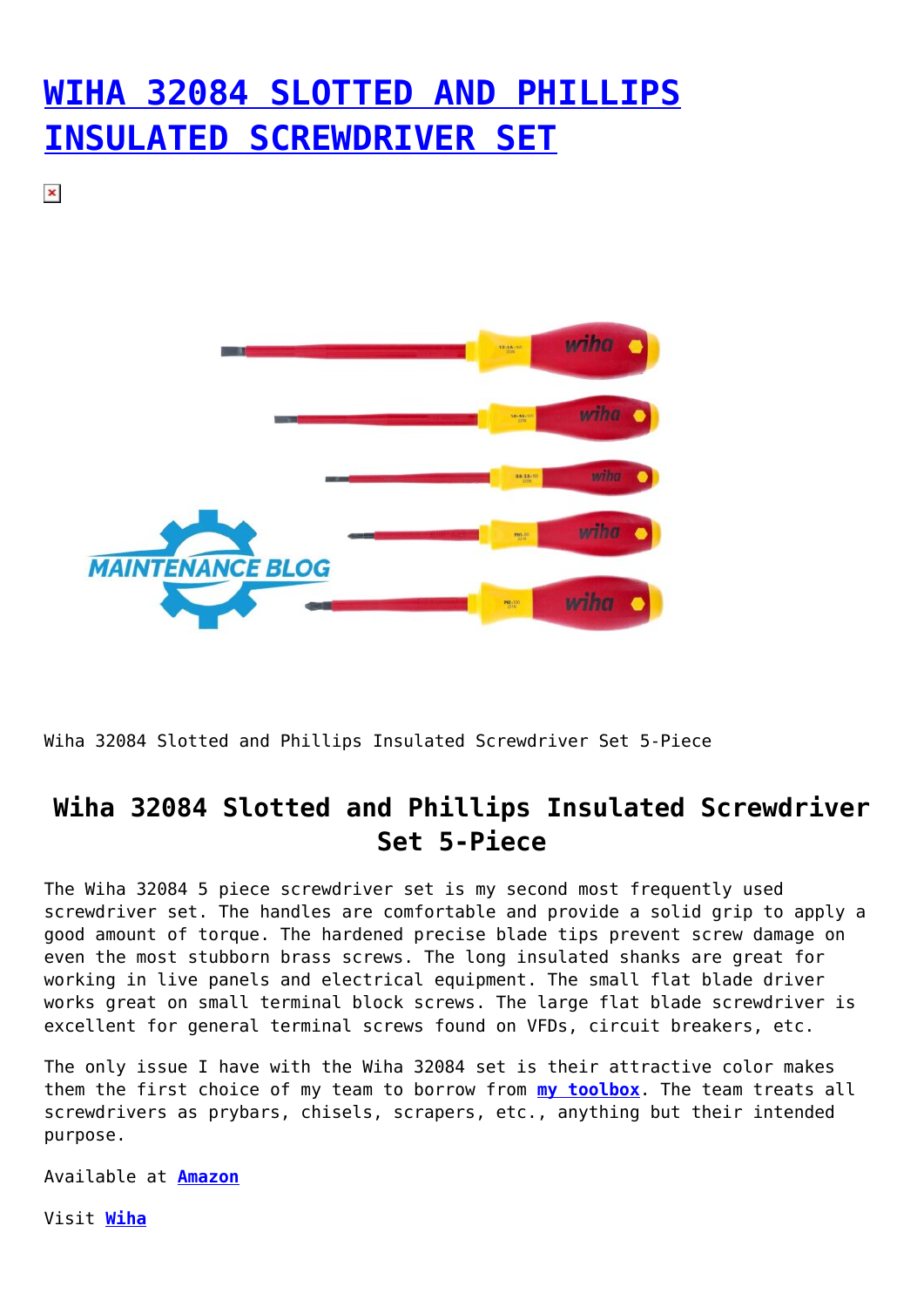## **[WIHA 32084 SLOTTED AND PHILLIPS](https://maintenanceblog.com/wiha-32084-slotted-and-phillips-insulated-screwdriver-set-5-piece/) [INSULATED SCREWDRIVER SET](https://maintenanceblog.com/wiha-32084-slotted-and-phillips-insulated-screwdriver-set-5-piece/)**

 $\pmb{\times}$ 



Wiha 32084 Slotted and Phillips Insulated Screwdriver Set 5-Piece

## **Wiha 32084 Slotted and Phillips Insulated Screwdriver Set 5-Piece**

The Wiha 32084 5 piece screwdriver set is my second most frequently used screwdriver set. The handles are comfortable and provide a solid grip to apply a good amount of torque. The hardened precise blade tips prevent screw damage on even the most stubborn brass screws. The long insulated shanks are great for working in live panels and electrical equipment. The small flat blade driver works great on small terminal block screws. The large flat blade screwdriver is excellent for general terminal screws found on VFDs, circuit breakers, etc.

The only issue I have with the Wiha 32084 set is their attractive color makes them the first choice of my team to borrow from **[my toolbox](https://maintenanceblog.com/my-toolbox/)**. The team treats all screwdrivers as prybars, chisels, scrapers, etc., anything but their intended purpose.

Available at **[Amazon](https://amzn.to/3EKhWpH)**

Visit **[Wiha](https://www.wihatools.com/)**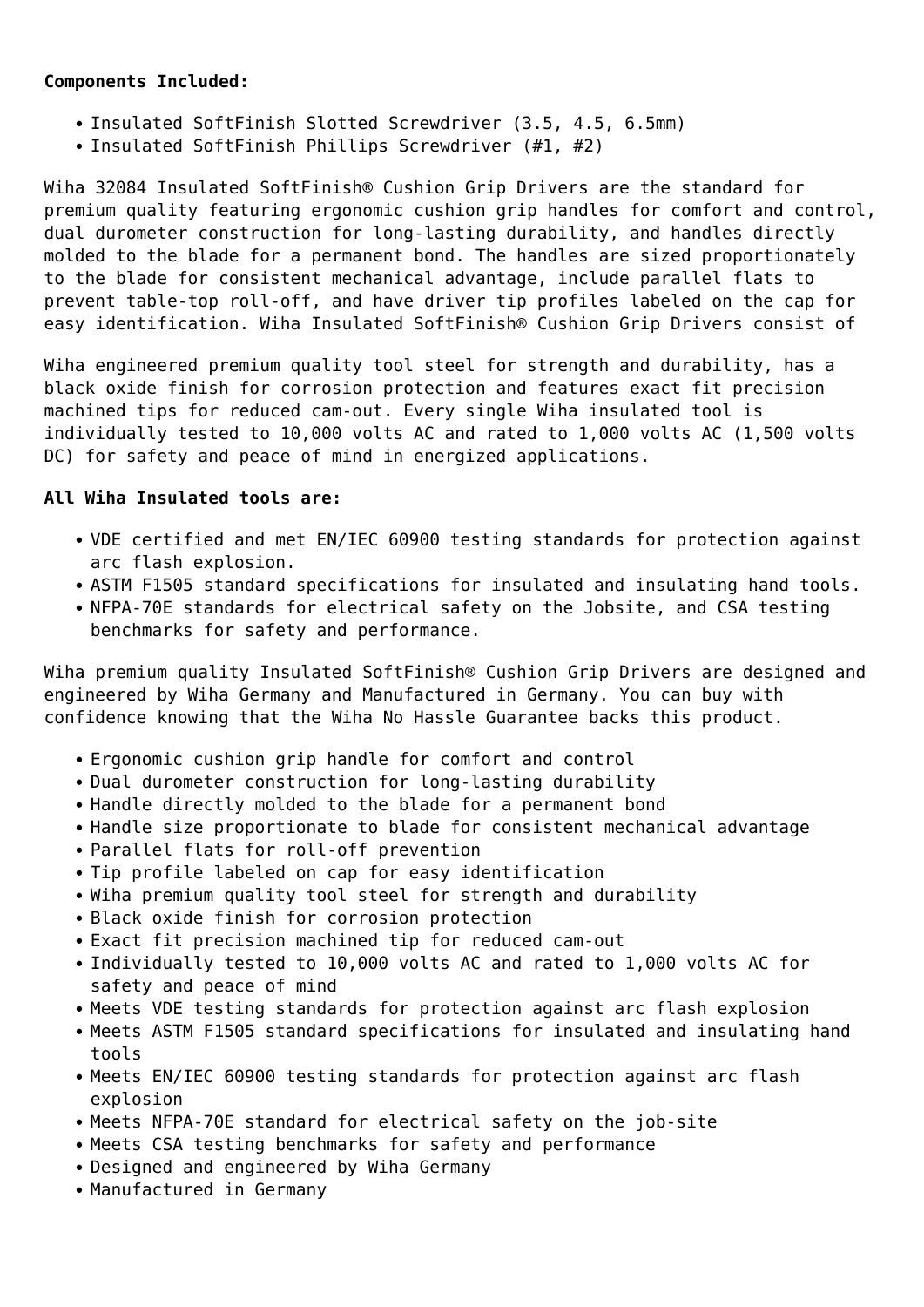## **Components Included:**

- Insulated SoftFinish Slotted Screwdriver (3.5, 4.5, 6.5mm)
- Insulated SoftFinish Phillips Screwdriver (#1, #2)

Wiha 32084 Insulated SoftFinish® Cushion Grip Drivers are the standard for premium quality featuring ergonomic cushion grip handles for comfort and control, dual durometer construction for long-lasting durability, and handles directly molded to the blade for a permanent bond. The handles are sized proportionately to the blade for consistent mechanical advantage, include parallel flats to prevent table-top roll-off, and have driver tip profiles labeled on the cap for easy identification. Wiha Insulated SoftFinish® Cushion Grip Drivers consist of

Wiha engineered premium quality tool steel for strength and durability, has a black oxide finish for corrosion protection and features exact fit precision machined tips for reduced cam-out. Every single Wiha insulated tool is individually tested to 10,000 volts AC and rated to 1,000 volts AC (1,500 volts DC) for safety and peace of mind in energized applications.

## **All Wiha Insulated tools are:**

- VDE certified and met EN/IEC 60900 testing standards for protection against arc flash explosion.
- ASTM F1505 standard specifications for insulated and insulating hand tools.
- NFPA-70E standards for electrical safety on the Jobsite, and CSA testing benchmarks for safety and performance.

Wiha premium quality Insulated SoftFinish® Cushion Grip Drivers are designed and engineered by Wiha Germany and Manufactured in Germany. You can buy with confidence knowing that the Wiha No Hassle Guarantee backs this product.

- Ergonomic cushion grip handle for comfort and control
- Dual durometer construction for long-lasting durability
- Handle directly molded to the blade for a permanent bond
- Handle size proportionate to blade for consistent mechanical advantage
- Parallel flats for roll-off prevention
- Tip profile labeled on cap for easy identification
- Wiha premium quality tool steel for strength and durability
- Black oxide finish for corrosion protection
- Exact fit precision machined tip for reduced cam-out
- Individually tested to 10,000 volts AC and rated to 1,000 volts AC for safety and peace of mind
- Meets VDE testing standards for protection against arc flash explosion
- Meets ASTM F1505 standard specifications for insulated and insulating hand tools
- Meets EN/IEC 60900 testing standards for protection against arc flash explosion
- Meets NFPA-70E standard for electrical safety on the job-site
- Meets CSA testing benchmarks for safety and performance
- Designed and engineered by Wiha Germany
- Manufactured in Germany